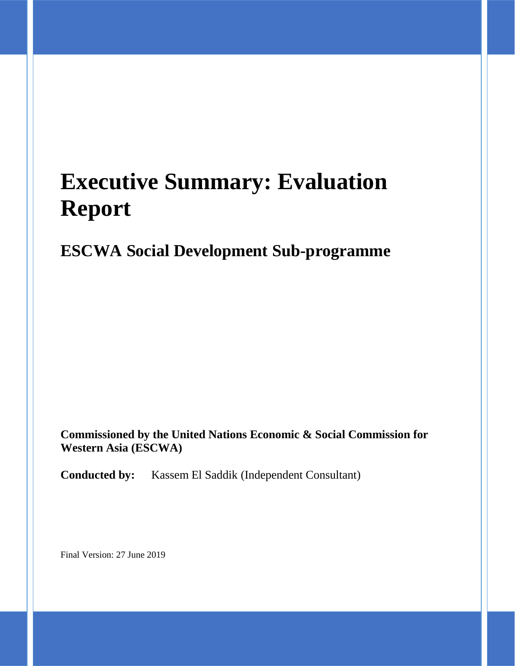# **Executive Summary: Evaluation Report**

## **ESCWA Social Development Sub-programme**

**Commissioned by the United Nations Economic & Social Commission for Western Asia (ESCWA)**

**Conducted by:** Kassem El Saddik (Independent Consultant)

Final Version: 27 June 2019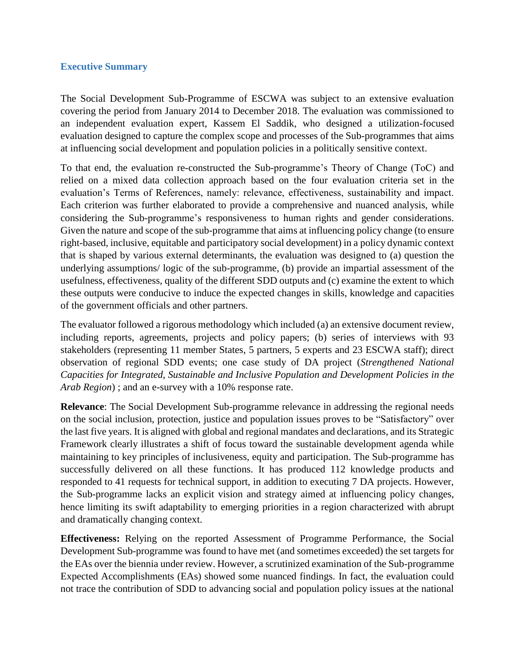#### **Executive Summary**

The Social Development Sub-Programme of ESCWA was subject to an extensive evaluation covering the period from January 2014 to December 2018. The evaluation was commissioned to an independent evaluation expert, Kassem El Saddik, who designed a utilization-focused evaluation designed to capture the complex scope and processes of the Sub-programmes that aims at influencing social development and population policies in a politically sensitive context.

To that end, the evaluation re-constructed the Sub-programme's Theory of Change (ToC) and relied on a mixed data collection approach based on the four evaluation criteria set in the evaluation's Terms of References, namely: relevance, effectiveness, sustainability and impact. Each criterion was further elaborated to provide a comprehensive and nuanced analysis, while considering the Sub-programme's responsiveness to human rights and gender considerations. Given the nature and scope of the sub-programme that aims at influencing policy change (to ensure right-based, inclusive, equitable and participatory social development) in a policy dynamic context that is shaped by various external determinants, the evaluation was designed to (a) question the underlying assumptions/ logic of the sub-programme, (b) provide an impartial assessment of the usefulness, effectiveness, quality of the different SDD outputs and (c) examine the extent to which these outputs were conducive to induce the expected changes in skills, knowledge and capacities of the government officials and other partners.

The evaluator followed a rigorous methodology which included (a) an extensive document review, including reports, agreements, projects and policy papers; (b) series of interviews with 93 stakeholders (representing 11 member States, 5 partners, 5 experts and 23 ESCWA staff); direct observation of regional SDD events; one case study of DA project (*Strengthened National Capacities for Integrated, Sustainable and Inclusive Population and Development Policies in the Arab Region*) ; and an e-survey with a 10% response rate.

**Relevance**: The Social Development Sub-programme relevance in addressing the regional needs on the social inclusion, protection, justice and population issues proves to be "Satisfactory" over the last five years. It is aligned with global and regional mandates and declarations, and its Strategic Framework clearly illustrates a shift of focus toward the sustainable development agenda while maintaining to key principles of inclusiveness, equity and participation. The Sub-programme has successfully delivered on all these functions. It has produced 112 knowledge products and responded to 41 requests for technical support, in addition to executing 7 DA projects. However, the Sub-programme lacks an explicit vision and strategy aimed at influencing policy changes, hence limiting its swift adaptability to emerging priorities in a region characterized with abrupt and dramatically changing context.

**Effectiveness:** Relying on the reported Assessment of Programme Performance, the Social Development Sub-programme was found to have met (and sometimes exceeded) the set targets for the EAs over the biennia under review. However, a scrutinized examination of the Sub-programme Expected Accomplishments (EAs) showed some nuanced findings. In fact, the evaluation could not trace the contribution of SDD to advancing social and population policy issues at the national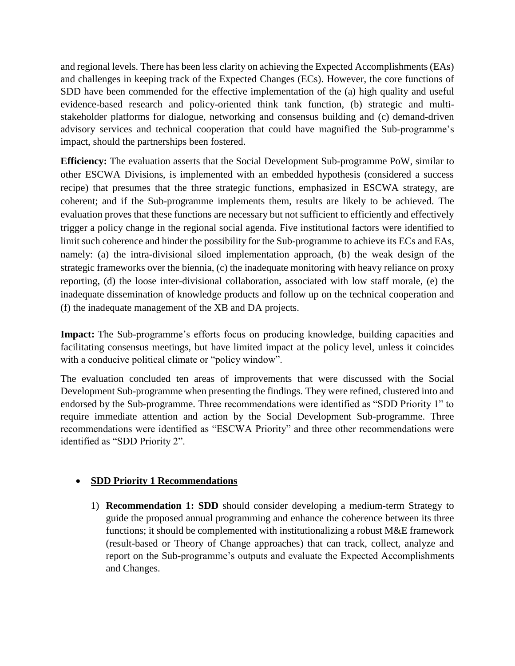and regional levels. There has been less clarity on achieving the Expected Accomplishments (EAs) and challenges in keeping track of the Expected Changes (ECs). However, the core functions of SDD have been commended for the effective implementation of the (a) high quality and useful evidence-based research and policy-oriented think tank function, (b) strategic and multistakeholder platforms for dialogue, networking and consensus building and (c) demand-driven advisory services and technical cooperation that could have magnified the Sub-programme's impact, should the partnerships been fostered.

**Efficiency:** The evaluation asserts that the Social Development Sub-programme PoW, similar to other ESCWA Divisions, is implemented with an embedded hypothesis (considered a success recipe) that presumes that the three strategic functions, emphasized in ESCWA strategy, are coherent; and if the Sub-programme implements them, results are likely to be achieved. The evaluation proves that these functions are necessary but not sufficient to efficiently and effectively trigger a policy change in the regional social agenda. Five institutional factors were identified to limit such coherence and hinder the possibility for the Sub-programme to achieve its ECs and EAs, namely: (a) the intra-divisional siloed implementation approach, (b) the weak design of the strategic frameworks over the biennia, (c) the inadequate monitoring with heavy reliance on proxy reporting, (d) the loose inter-divisional collaboration, associated with low staff morale, (e) the inadequate dissemination of knowledge products and follow up on the technical cooperation and (f) the inadequate management of the XB and DA projects.

**Impact:** The Sub-programme's efforts focus on producing knowledge, building capacities and facilitating consensus meetings, but have limited impact at the policy level, unless it coincides with a conducive political climate or "policy window".

The evaluation concluded ten areas of improvements that were discussed with the Social Development Sub-programme when presenting the findings. They were refined, clustered into and endorsed by the Sub-programme. Three recommendations were identified as "SDD Priority 1" to require immediate attention and action by the Social Development Sub-programme. Three recommendations were identified as "ESCWA Priority" and three other recommendations were identified as "SDD Priority 2".

#### • **SDD Priority 1 Recommendations**

1) **Recommendation 1: SDD** should consider developing a medium-term Strategy to guide the proposed annual programming and enhance the coherence between its three functions; it should be complemented with institutionalizing a robust M&E framework (result-based or Theory of Change approaches) that can track, collect, analyze and report on the Sub-programme's outputs and evaluate the Expected Accomplishments and Changes.